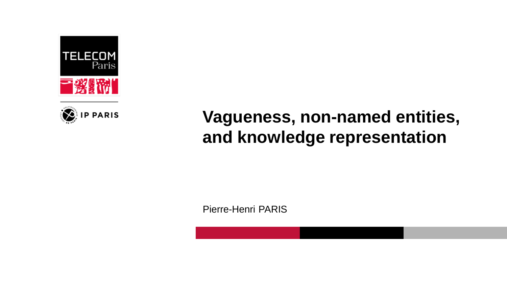



# **Vagueness, non-named entities, and knowledge representation**

Pierre-Henri PARIS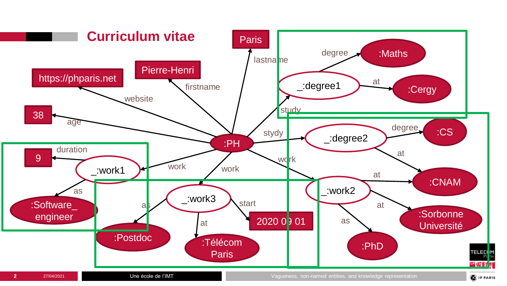

Une école de l'IMT

**2** 27/04/2021 **27/04/2021 27/04/2021 27/04/2021** Une école de l'IMT **2006 2006 2006 2006 2006 2006 2006 2006 2006 2006 2006 2006 2006 2006 2006 2006 2006 2006 2006 2006 2006 2** 

**D** IP PARIS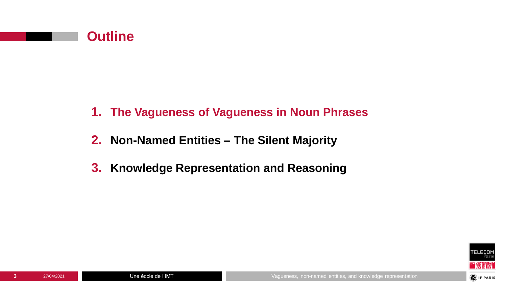

- **1. The Vagueness of Vagueness in Noun Phrases**
- **2. Non-Named Entities – The Silent Majority**
- **3. Knowledge Representation and Reasoning**

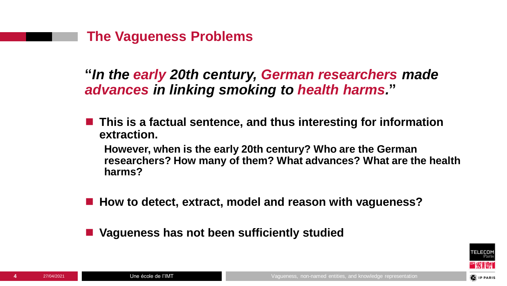

**"***In the early 20th century, German researchers made advances in linking smoking to health harms.***"**

■ This is a factual sentence, and thus interesting for information **extraction.**

**However, when is the early 20th century? Who are the German researchers? How many of them? What advances? What are the health harms?**

- How to detect, extract, model and reason with vagueness?
- Vagueness has not been sufficiently studied

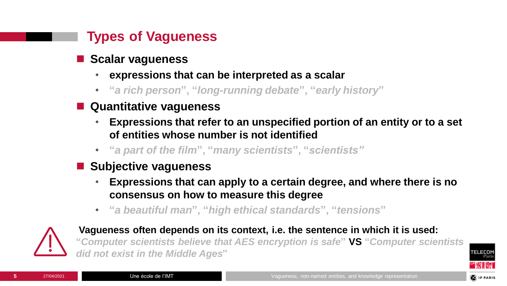## **Types of Vagueness**

- **Scalar vagueness** 
	- **expressions that can be interpreted as a scalar**
	- **"***a rich person***", "***long-running debate***", "***early history***"**
- Quantitative vaqueness
	- **Expressions that refer to an unspecified portion of an entity or to a set of entities whose number is not identified**
	- **"***a part of the film***", "***many scientists***", "***scientists"*
- Subjective vaqueness
	- **Expressions that can apply to a certain degree, and where there is no consensus on how to measure this degree**
	- **"***a beautiful man***", "***high ethical standards***", "***tensions***"**



**Vagueness often depends on its context, i.e. the sentence in which it is used: "***Computer scientists believe that AES encryption is safe***" VS "***Computer scientists did not exist in the Middle Ages***"**



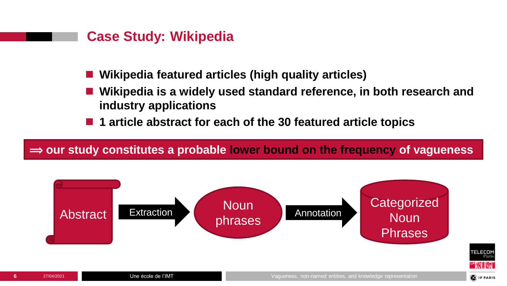#### **Case Study: Wikipedia**

- ◼ **Wikipedia featured articles (high quality articles)**
- ◼ **Wikipedia is a widely used standard reference, in both research and industry applications**
- 1 article abstract for each of the 30 featured article topics

#### ⟹ **our study constitutes a probable lower bound on the frequency of vagueness**



**TELECO**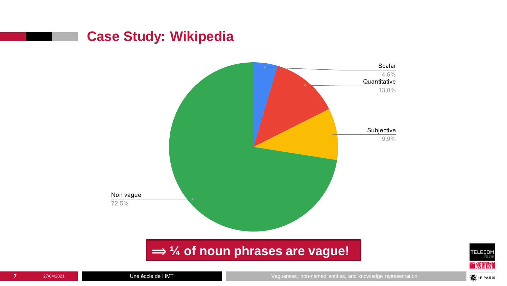## **Case Study: Wikipedia**



**⇒ ¼ of noun phrases are vague!** 

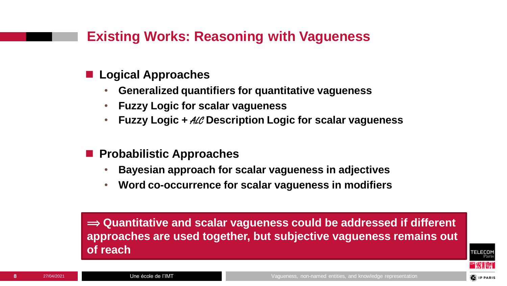## **Existing Works: Reasoning with Vagueness**

- Logical Approaches
	- **Generalized quantifiers for quantitative vagueness**
	- **Fuzzy Logic for scalar vagueness**
	- **Fuzzy Logic +** ALC **Description Logic for scalar vagueness**
- ◼ **Probabilistic Approaches**
	- **Bayesian approach for scalar vagueness in adjectives**
	- **Word co-occurrence for scalar vagueness in modifiers**

 $\Rightarrow$  **Quantitative and scalar vagueness could be addressed if different approaches are used together, but subjective vagueness remains out of reach**

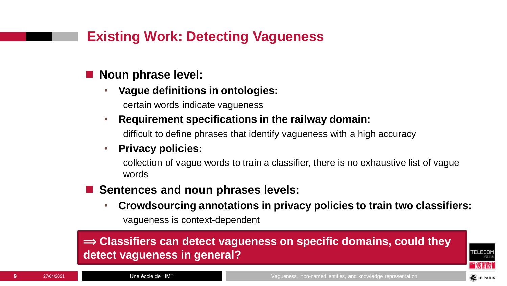## **Existing Work: Detecting Vagueness**

#### ◼ **Noun phrase level:**

- **Vague definitions in ontologies:**  certain words indicate vagueness
- **Requirement specifications in the railway domain:**

difficult to define phrases that identify vagueness with a high accuracy

#### • **Privacy policies:**

collection of vague words to train a classifier, there is no exhaustive list of vague words

- Sentences and noun phrases levels:
	- **Crowdsourcing annotations in privacy policies to train two classifiers:**  vagueness is context-dependent

#### $\Rightarrow$  **Classifiers can detect vagueness on specific domains, could they detect vagueness in general?**

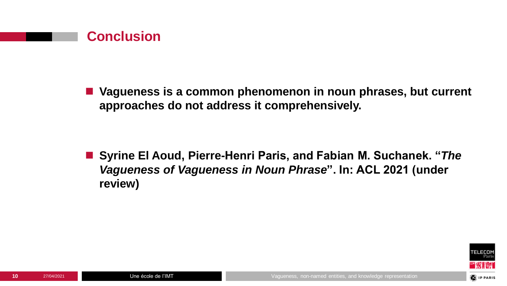

■ Vagueness is a common phenomenon in noun phrases, but current **approaches do not address it comprehensively.**

■ Syrine El Aoud, Pierre-Henri Paris, and Fabian M. Suchanek. "*The Vagueness of Vagueness in Noun Phrase***". In: ACL 2021 (under review)**

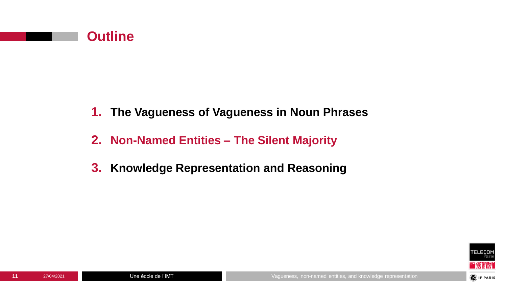

- **1. The Vagueness of Vagueness in Noun Phrases**
- **2. Non-Named Entities – The Silent Majority**
- **3. Knowledge Representation and Reasoning**

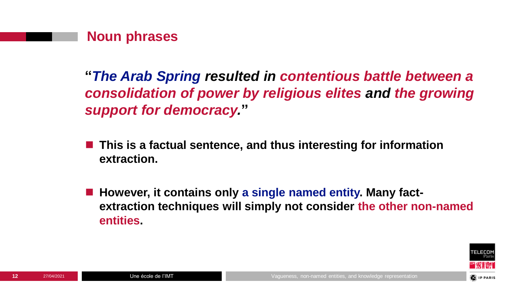

**"***The Arab Spring resulted in contentious battle between a consolidation of power by religious elites and the growing support for democracy.***"**

- This is a factual sentence, and thus interesting for information **extraction.**
- However, it contains only a single named entity. Many fact**extraction techniques will simply not consider the other non-named entities.**



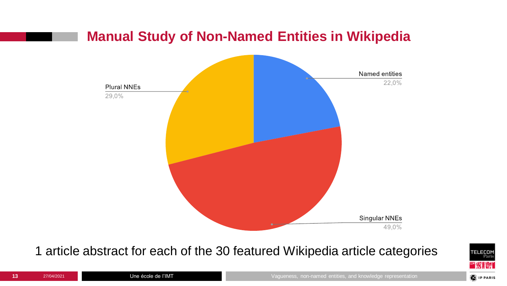## **Manual Study of Non-Named Entities in Wikipedia**



#### 1 article abstract for each of the 30 featured Wikipedia article categories

![](_page_12_Picture_3.jpeg)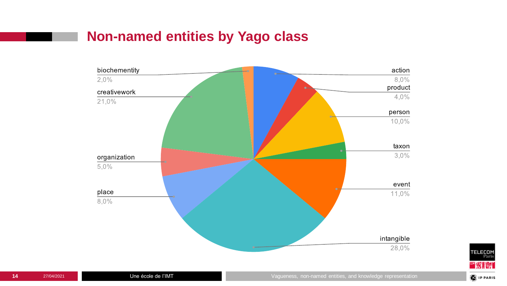## **Non-named entities by Yago class**

![](_page_13_Figure_1.jpeg)

![](_page_13_Picture_2.jpeg)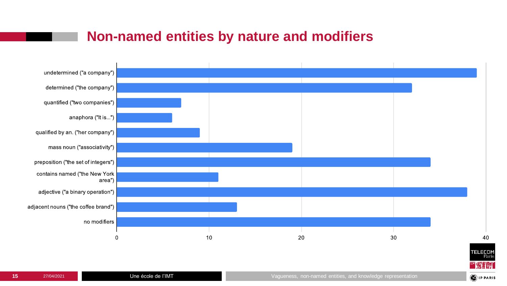## **Non-named entities by nature and modifiers**

![](_page_14_Figure_1.jpeg)

![](_page_14_Picture_2.jpeg)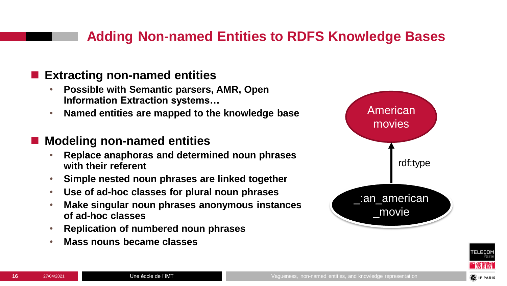## **Adding Non-named Entities to RDFS Knowledge Bases**

#### ■ Extracting non-named entities

- **Possible with Semantic parsers, AMR, Open Information Extraction systems…**
- **Named entities are mapped to the knowledge base**

#### ◼ **Modeling non-named entities**

- **Replace anaphoras and determined noun phrases with their referent**
- **Simple nested noun phrases are linked together**
- **Use of ad-hoc classes for plural noun phrases**
- **Make singular noun phrases anonymous instances of ad-hoc classes**
- **Replication of numbered noun phrases**
- **Mass nouns became classes**

![](_page_15_Figure_11.jpeg)

![](_page_15_Picture_12.jpeg)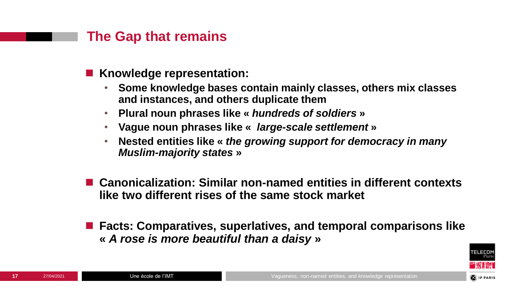#### **The Gap that remains**

- Knowledge representation:
	- **Some knowledge bases contain mainly classes, others mix classes and instances, and others duplicate them**
	- **Plural noun phrases like «** *hundreds of soldiers* **»**
	- **Vague noun phrases like «** *large-scale settlement* **»**
	- **Nested entities like «** *the growing support for democracy in many Muslim-majority states* **»**
- ◼ **Canonicalization: Similar non-named entities in different contexts like two different rises of the same stock market**
- Facts: Comparatives, superlatives, and temporal comparisons like **«** *A rose is more beautiful than a daisy* **»**

![](_page_16_Picture_8.jpeg)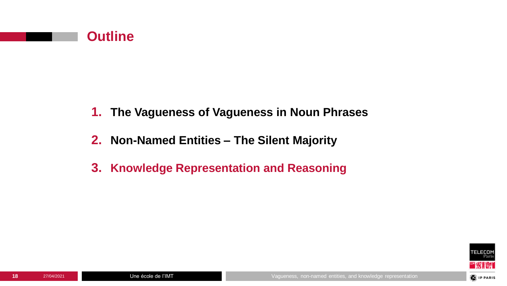![](_page_17_Picture_0.jpeg)

- **1. The Vagueness of Vagueness in Noun Phrases**
- **2. Non-Named Entities – The Silent Majority**
- **3. Knowledge Representation and Reasoning**

![](_page_17_Picture_5.jpeg)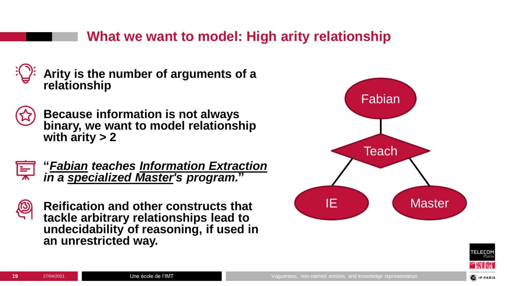## **What we want to model: High arity relationship**

![](_page_18_Picture_1.jpeg)

**Arity is the number of arguments of a relationship**

![](_page_18_Picture_3.jpeg)

**Because information is not always binary, we want to model relationship with arity > 2**

![](_page_18_Picture_5.jpeg)

**"***Fabian teaches Information Extraction in a specialized Master's program.***"**

![](_page_18_Picture_7.jpeg)

**Reification and other constructs that tackle arbitrary relationships lead to undecidability of reasoning, if used in an unrestricted way.**

![](_page_18_Figure_9.jpeg)

![](_page_18_Picture_10.jpeg)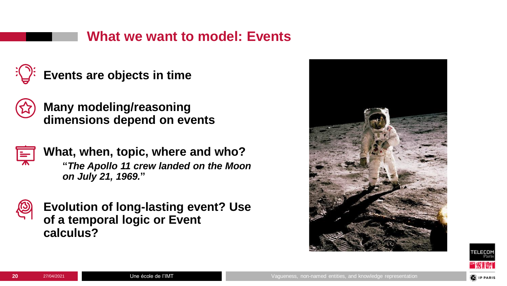## **What we want to model: Events**

![](_page_19_Picture_1.jpeg)

**Events are objects in time**

![](_page_19_Picture_3.jpeg)

**Many modeling/reasoning dimensions depend on events**

![](_page_19_Picture_5.jpeg)

**What, when, topic, where and who? "***The Apollo 11 crew landed on the Moon on July 21, 1969.***"**

![](_page_19_Picture_7.jpeg)

**Evolution of long-lasting event? Use of a temporal logic or Event calculus?**

![](_page_19_Picture_9.jpeg)

![](_page_19_Picture_10.jpeg)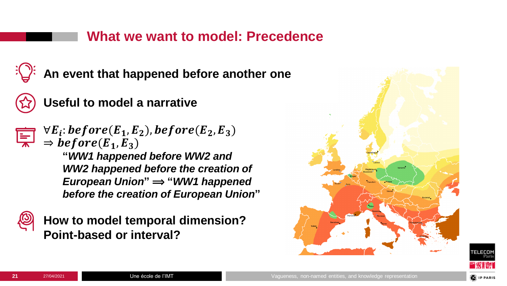#### **What we want to model: Precedence**

**An event that happened before another one**

![](_page_20_Picture_2.jpeg)

## **Useful to model a narrative**

![](_page_20_Picture_4.jpeg)

 $\forall E_i$ : before(E<sub>1</sub>, E<sub>2</sub>), before(E<sub>2</sub>, E<sub>3</sub>)  $\Rightarrow$  before( $\vec{E}_1, \vec{E}_3$ ) **"***WW1 happened before WW2 and WW2 happened before the creation of European Union*" ⇒ "*WW1 happened* 

*before the creation of European Union***"**

![](_page_20_Picture_7.jpeg)

**How to model temporal dimension? Point-based or interval?**

![](_page_20_Figure_9.jpeg)

![](_page_20_Picture_10.jpeg)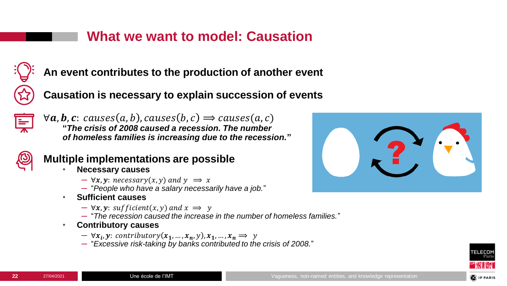## **What we want to model: Causation**

![](_page_21_Picture_1.jpeg)

**An event contributes to the production of another event**

**Causation is necessary to explain succession of events**

![](_page_21_Picture_4.jpeg)

 $\forall a, b, c: causes(a, b), causes(b, c) \Rightarrow causes(a, c)$ **"***The crisis of 2008 caused a recession. The number of homeless families is increasing due to the recession.***"**

![](_page_21_Picture_6.jpeg)

#### **Multiple implementations are possible**

- **Necessary causes**
	- $\rightarrow \forall x, y$ : necessary(x, y) and  $y \Rightarrow x$
	- ─ "*People who have a salary necessarily have a job.*"
- **Sufficient causes**
	- $\rightarrow \forall x, y$ : sufficient(x, y) and  $x \Rightarrow y$
	- ─ "*The recession caused the increase in the number of homeless families.*"
- **Contributory causes**
	- $\forall x_i, y:$  contributory $(x_1, ..., x_n, y), x_1, ..., x_n \Rightarrow y$
	- ─ "*Excessive risk-taking by banks contributed to the crisis of 2008.*"

![](_page_21_Picture_17.jpeg)

![](_page_21_Picture_18.jpeg)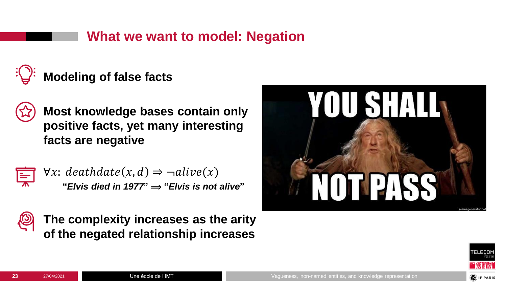## **What we want to model: Negation**

![](_page_22_Picture_1.jpeg)

**Most knowledge bases contain only positive facts, yet many interesting facts are negative**

 $\forall x: \text{deathdate}(x, d) \Rightarrow \neg \text{alive}(x)$  $"Elvis died in 1977" \Rightarrow "Elvis is not alive"$ 

![](_page_22_Picture_6.jpeg)

![](_page_22_Picture_7.jpeg)

**The complexity increases as the arity of the negated relationship increases**

![](_page_22_Picture_9.jpeg)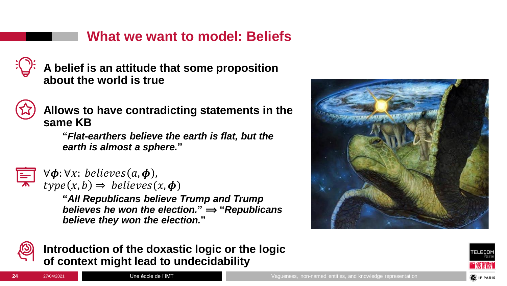## **What we want to model: Beliefs**

**A belief is an attitude that some proposition about the world is true**

![](_page_23_Picture_2.jpeg)

**Allows to have contradicting statements in the same KB**

**"***Flat-earthers believe the earth is flat, but the earth is almost a sphere.***"**

![](_page_23_Picture_5.jpeg)

 $\forall \phi$ :  $\forall x$ : *believes*( $a, \phi$ ),  $type(x, b) \Rightarrow$  believes $(x, \phi)$ 

**"***All Republicans believe Trump and Trump believes he won the election.*<sup> $n \rightarrow \infty$ </sup>*"Republicans believe they won the election.***"**

![](_page_23_Picture_8.jpeg)

**Introduction of the doxastic logic or the logic of context might lead to undecidability**

![](_page_23_Picture_10.jpeg)

![](_page_23_Picture_11.jpeg)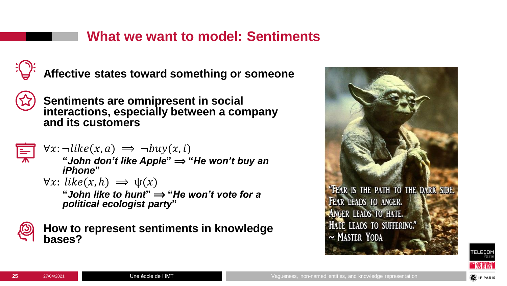## **What we want to model: Sentiments**

![](_page_24_Picture_1.jpeg)

**Affective states toward something or someone**

![](_page_24_Picture_3.jpeg)

**Sentiments are omnipresent in social interactions, especially between a company and its customers**

 $\forall x: \neg like(x, a) \implies \neg buy(x, i)$ 

"*John don't like Apple*"  $\Rightarrow$  "*He won't buy an iPhone***"**

 $\forall x: like(x, h) \implies \psi(x)$ 

"*John like to hunt*"  $\Rightarrow$  "*He won't vote for a political ecologist party***"**

**How to represent sentiments in knowledge bases?**

![](_page_24_Picture_11.jpeg)

![](_page_24_Picture_12.jpeg)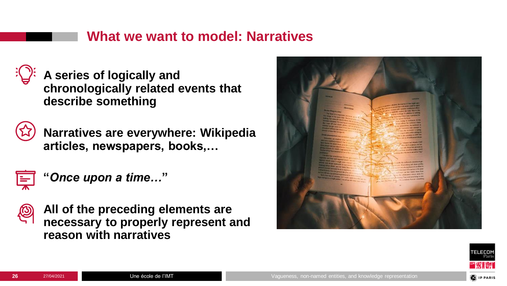#### **What we want to model: Narratives**

![](_page_25_Picture_1.jpeg)

**A series of logically and chronologically related events that describe something**

![](_page_25_Picture_3.jpeg)

**Narratives are everywhere: Wikipedia articles, newspapers, books,…**

![](_page_25_Picture_5.jpeg)

**"***Once upon a time…***"**

![](_page_25_Picture_7.jpeg)

**All of the preceding elements are necessary to properly represent and reason with narratives**

![](_page_25_Picture_9.jpeg)

![](_page_25_Picture_10.jpeg)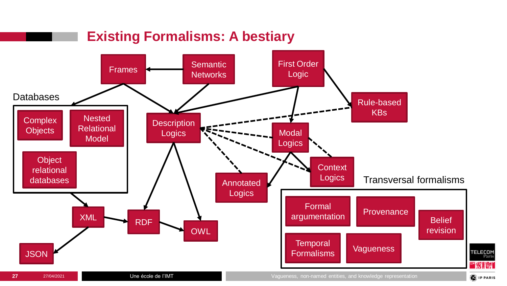![](_page_26_Figure_0.jpeg)

![](_page_26_Figure_1.jpeg)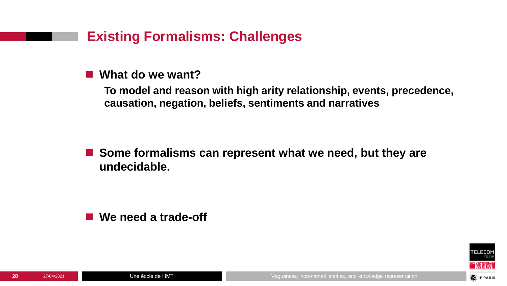## **Existing Formalisms: Challenges**

#### ■ What do we want?

**To model and reason with high arity relationship, events, precedence, causation, negation, beliefs, sentiments and narratives**

■ Some formalisms can represent what we need, but they are **undecidable.**

■ We need a trade-off

![](_page_27_Picture_5.jpeg)